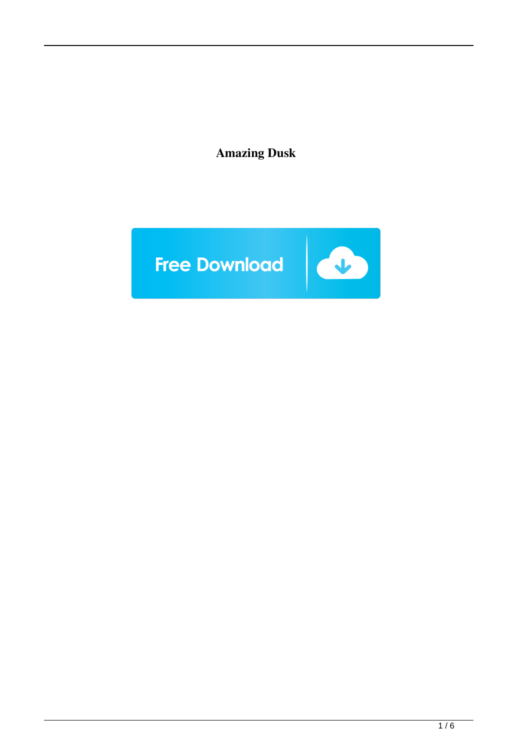**Amazing Dusk**

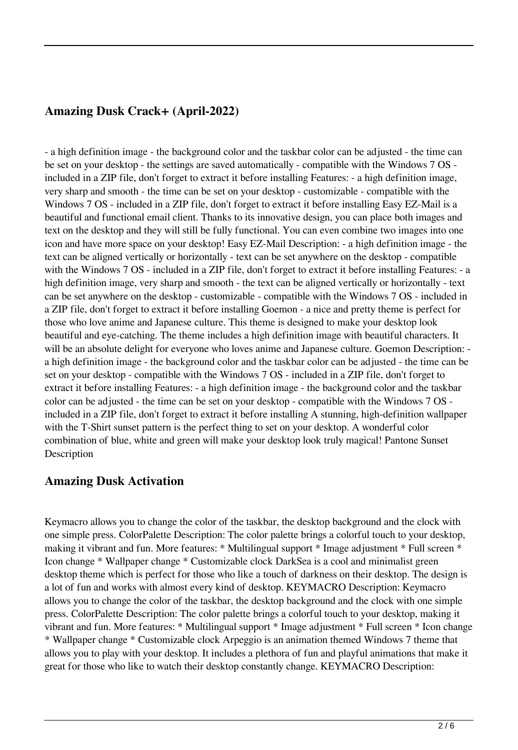## **Amazing Dusk Crack+ (April-2022)**

- a high definition image - the background color and the taskbar color can be adjusted - the time can be set on your desktop - the settings are saved automatically - compatible with the Windows 7 OS included in a ZIP file, don't forget to extract it before installing Features: - a high definition image, very sharp and smooth - the time can be set on your desktop - customizable - compatible with the Windows 7 OS - included in a ZIP file, don't forget to extract it before installing Easy EZ-Mail is a beautiful and functional email client. Thanks to its innovative design, you can place both images and text on the desktop and they will still be fully functional. You can even combine two images into one icon and have more space on your desktop! Easy EZ-Mail Description: - a high definition image - the text can be aligned vertically or horizontally - text can be set anywhere on the desktop - compatible with the Windows 7 OS - included in a ZIP file, don't forget to extract it before installing Features: - a high definition image, very sharp and smooth - the text can be aligned vertically or horizontally - text can be set anywhere on the desktop - customizable - compatible with the Windows 7 OS - included in a ZIP file, don't forget to extract it before installing Goemon - a nice and pretty theme is perfect for those who love anime and Japanese culture. This theme is designed to make your desktop look beautiful and eye-catching. The theme includes a high definition image with beautiful characters. It will be an absolute delight for everyone who loves anime and Japanese culture. Goemon Description: a high definition image - the background color and the taskbar color can be adjusted - the time can be set on your desktop - compatible with the Windows 7 OS - included in a ZIP file, don't forget to extract it before installing Features: - a high definition image - the background color and the taskbar color can be adjusted - the time can be set on your desktop - compatible with the Windows 7 OS included in a ZIP file, don't forget to extract it before installing A stunning, high-definition wallpaper with the T-Shirt sunset pattern is the perfect thing to set on your desktop. A wonderful color combination of blue, white and green will make your desktop look truly magical! Pantone Sunset **Description** 

### **Amazing Dusk Activation**

Keymacro allows you to change the color of the taskbar, the desktop background and the clock with one simple press. ColorPalette Description: The color palette brings a colorful touch to your desktop, making it vibrant and fun. More features: \* Multilingual support \* Image adjustment \* Full screen \* Icon change \* Wallpaper change \* Customizable clock DarkSea is a cool and minimalist green desktop theme which is perfect for those who like a touch of darkness on their desktop. The design is a lot of fun and works with almost every kind of desktop. KEYMACRO Description: Keymacro allows you to change the color of the taskbar, the desktop background and the clock with one simple press. ColorPalette Description: The color palette brings a colorful touch to your desktop, making it vibrant and fun. More features: \* Multilingual support \* Image adjustment \* Full screen \* Icon change \* Wallpaper change \* Customizable clock Arpeggio is an animation themed Windows 7 theme that allows you to play with your desktop. It includes a plethora of fun and playful animations that make it great for those who like to watch their desktop constantly change. KEYMACRO Description: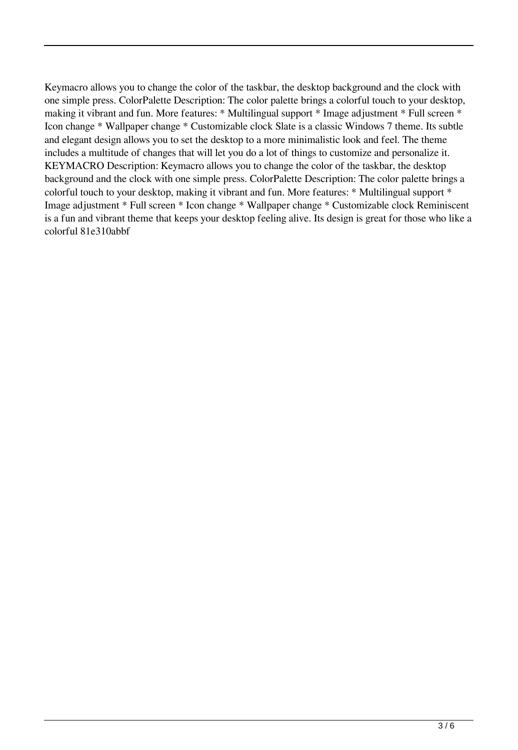Keymacro allows you to change the color of the taskbar, the desktop background and the clock with one simple press. ColorPalette Description: The color palette brings a colorful touch to your desktop, making it vibrant and fun. More features: \* Multilingual support \* Image adjustment \* Full screen \* Icon change \* Wallpaper change \* Customizable clock Slate is a classic Windows 7 theme. Its subtle and elegant design allows you to set the desktop to a more minimalistic look and feel. The theme includes a multitude of changes that will let you do a lot of things to customize and personalize it. KEYMACRO Description: Keymacro allows you to change the color of the taskbar, the desktop background and the clock with one simple press. ColorPalette Description: The color palette brings a colorful touch to your desktop, making it vibrant and fun. More features: \* Multilingual support \* Image adjustment \* Full screen \* Icon change \* Wallpaper change \* Customizable clock Reminiscent is a fun and vibrant theme that keeps your desktop feeling alive. Its design is great for those who like a colorful 81e310abbf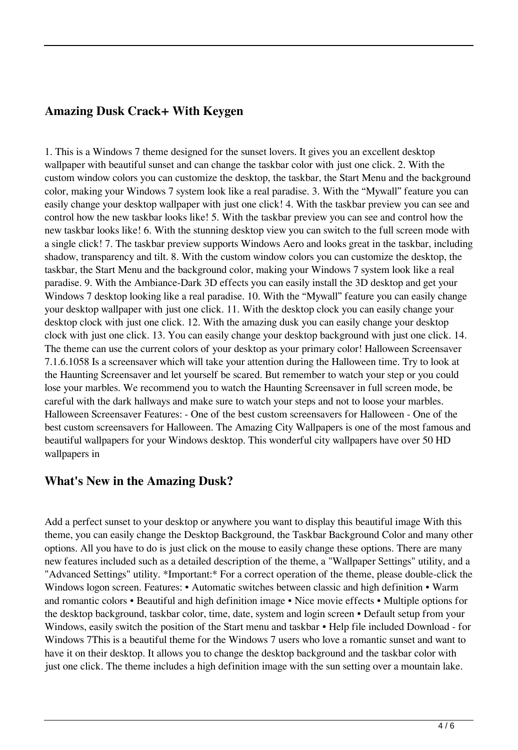## **Amazing Dusk Crack+ With Keygen**

1. This is a Windows 7 theme designed for the sunset lovers. It gives you an excellent desktop wallpaper with beautiful sunset and can change the taskbar color with just one click. 2. With the custom window colors you can customize the desktop, the taskbar, the Start Menu and the background color, making your Windows 7 system look like a real paradise. 3. With the "Mywall" feature you can easily change your desktop wallpaper with just one click! 4. With the taskbar preview you can see and control how the new taskbar looks like! 5. With the taskbar preview you can see and control how the new taskbar looks like! 6. With the stunning desktop view you can switch to the full screen mode with a single click! 7. The taskbar preview supports Windows Aero and looks great in the taskbar, including shadow, transparency and tilt. 8. With the custom window colors you can customize the desktop, the taskbar, the Start Menu and the background color, making your Windows 7 system look like a real paradise. 9. With the Ambiance-Dark 3D effects you can easily install the 3D desktop and get your Windows 7 desktop looking like a real paradise. 10. With the "Mywall" feature you can easily change your desktop wallpaper with just one click. 11. With the desktop clock you can easily change your desktop clock with just one click. 12. With the amazing dusk you can easily change your desktop clock with just one click. 13. You can easily change your desktop background with just one click. 14. The theme can use the current colors of your desktop as your primary color! Halloween Screensaver 7.1.6.1058 Is a screensaver which will take your attention during the Halloween time. Try to look at the Haunting Screensaver and let yourself be scared. But remember to watch your step or you could lose your marbles. We recommend you to watch the Haunting Screensaver in full screen mode, be careful with the dark hallways and make sure to watch your steps and not to loose your marbles. Halloween Screensaver Features: - One of the best custom screensavers for Halloween - One of the best custom screensavers for Halloween. The Amazing City Wallpapers is one of the most famous and beautiful wallpapers for your Windows desktop. This wonderful city wallpapers have over 50 HD wallpapers in

### **What's New in the Amazing Dusk?**

Add a perfect sunset to your desktop or anywhere you want to display this beautiful image With this theme, you can easily change the Desktop Background, the Taskbar Background Color and many other options. All you have to do is just click on the mouse to easily change these options. There are many new features included such as a detailed description of the theme, a "Wallpaper Settings" utility, and a "Advanced Settings" utility. \*Important:\* For a correct operation of the theme, please double-click the Windows logon screen. Features: • Automatic switches between classic and high definition • Warm and romantic colors • Beautiful and high definition image • Nice movie effects • Multiple options for the desktop background, taskbar color, time, date, system and login screen • Default setup from your Windows, easily switch the position of the Start menu and taskbar • Help file included Download - for Windows 7This is a beautiful theme for the Windows 7 users who love a romantic sunset and want to have it on their desktop. It allows you to change the desktop background and the taskbar color with just one click. The theme includes a high definition image with the sun setting over a mountain lake.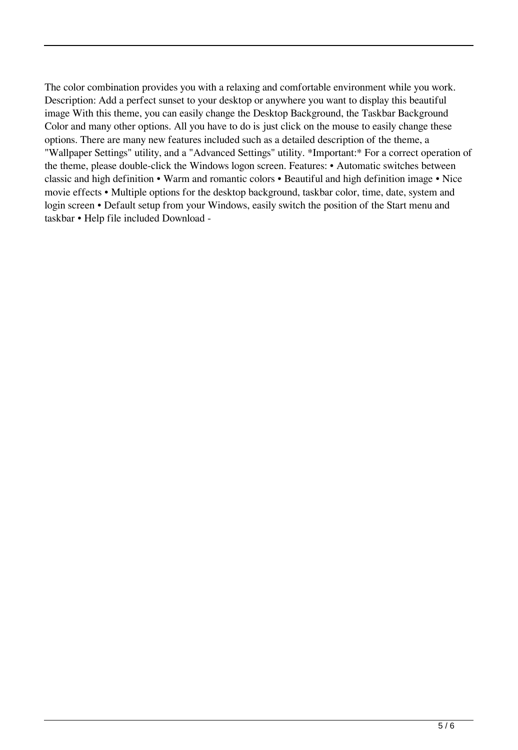The color combination provides you with a relaxing and comfortable environment while you work. Description: Add a perfect sunset to your desktop or anywhere you want to display this beautiful image With this theme, you can easily change the Desktop Background, the Taskbar Background Color and many other options. All you have to do is just click on the mouse to easily change these options. There are many new features included such as a detailed description of the theme, a "Wallpaper Settings" utility, and a "Advanced Settings" utility. \*Important:\* For a correct operation of the theme, please double-click the Windows logon screen. Features: • Automatic switches between classic and high definition • Warm and romantic colors • Beautiful and high definition image • Nice movie effects • Multiple options for the desktop background, taskbar color, time, date, system and login screen • Default setup from your Windows, easily switch the position of the Start menu and taskbar • Help file included Download -